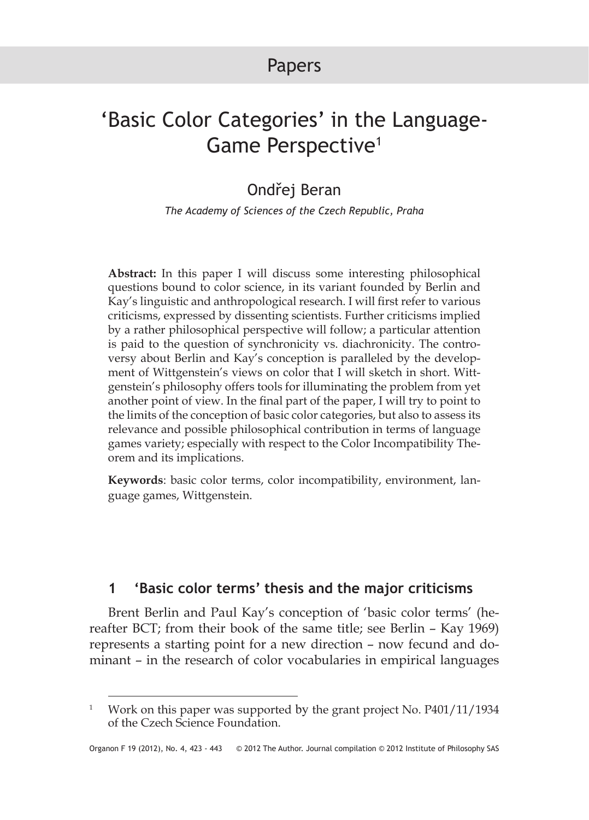# Papers

# 'Basic Color Categories' in the Language-Game Perspective<sup>1</sup>

## Ondřej Beran

*The Academy of Sciences of the Czech Republic, Praha*

**Abstract:** In this paper I will discuss some interesting philosophical questions bound to color science, in its variant founded by Berlin and Kay's linguistic and anthropological research. I will first refer to various criticisms, expressed by dissenting scientists. Further criticisms implied by a rather philosophical perspective will follow; a particular attention is paid to the question of synchronicity vs. diachronicity. The controversy about Berlin and Kay's conception is paralleled by the development of Wittgenstein's views on color that I will sketch in short. Wittgenstein's philosophy offers tools for illuminating the problem from yet another point of view. In the final part of the paper, I will try to point to the limits of the conception of basic color categories, but also to assess its relevance and possible philosophical contribution in terms of language games variety; especially with respect to the Color Incompatibility Theorem and its implications.

**Keywords**: basic color terms, color incompatibility, environment, language games, Wittgenstein.

### **1 'Basic color terms' thesis and the major criticisms**

Brent Berlin and Paul Kay's conception of 'basic color terms' (hereafter BCT; from their book of the same title; see Berlin – Kay 1969) represents a starting point for a new direction – now fecund and dominant – in the research of color vocabularies in empirical languages

<sup>&</sup>lt;sup>1</sup> Work on this paper was supported by the grant project No. P401/11/1934 of the Czech Science Foundation.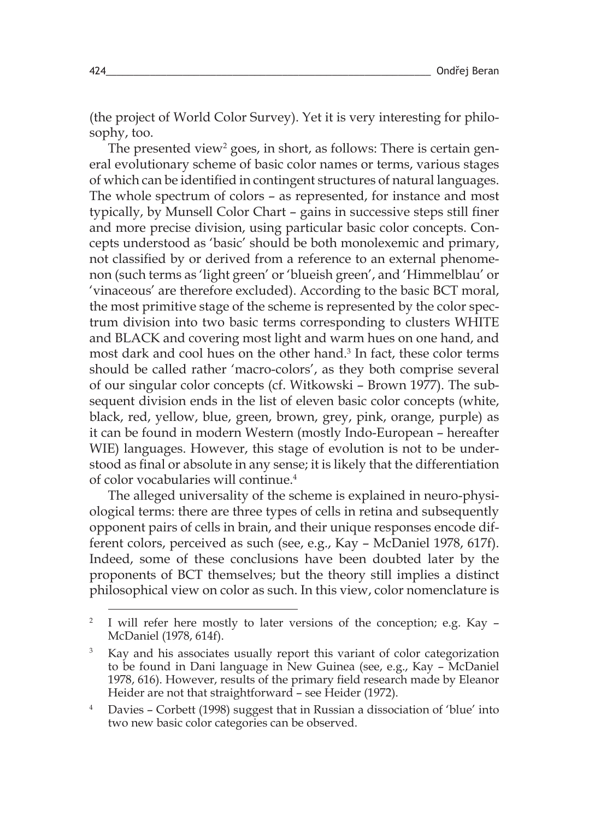(the project of World Color Survey). Yet it is very interesting for philosophy, too.

The presented view $^2$  goes, in short, as follows: There is certain general evolutionary scheme of basic color names or terms, various stages of which can be identified in contingent structures of natural languages. The whole spectrum of colors – as represented, for instance and most typically, by Munsell Color Chart – gains in successive steps still finer and more precise division, using particular basic color concepts. Concepts understood as 'basic' should be both monolexemic and primary, not classified by or derived from a reference to an external phenomenon (such terms as 'light green' or 'blueish green', and 'Himmelblau' or 'vinaceous' are therefore excluded). According to the basic BCT moral, the most primitive stage of the scheme is represented by the color spectrum division into two basic terms corresponding to clusters WHITE and BLACK and covering most light and warm hues on one hand, and most dark and cool hues on the other hand. 3 In fact, these color terms should be called rather 'macro-colors', as they both comprise several of our singular color concepts (cf. Witkowski – Brown 1977). The subsequent division ends in the list of eleven basic color concepts (white, black, red, yellow, blue, green, brown, grey, pink, orange, purple) as it can be found in modern Western (mostly Indo-European – hereafter WIE) languages. However, this stage of evolution is not to be understood as final or absolute in any sense; it is likely that the differentiation of color vocabularies will continue. 4

The alleged universality of the scheme is explained in neuro-physiological terms: there are three types of cells in retina and subsequently opponent pairs of cells in brain, and their unique responses encode different colors, perceived as such (see, e.g., Kay – McDaniel 1978, 617f). Indeed, some of these conclusions have been doubted later by the proponents of BCT themselves; but the theory still implies a distinct philosophical view on color as such. In this view, color nomenclature is

<sup>&</sup>lt;sup>2</sup> I will refer here mostly to later versions of the conception; e.g. Kay -McDaniel (1978, 614f).

<sup>&</sup>lt;sup>3</sup> Kay and his associates usually report this variant of color categorization to be found in Dani language in New Guinea (see, e.g., Kay – McDaniel 1978, 616). However, results of the primary field research made by Eleanor Heider are not that straightforward – see Heider (1972).

<sup>4</sup> Davies – Corbett (1998) suggest that in Russian a dissociation of 'blue' into two new basic color categories can be observed.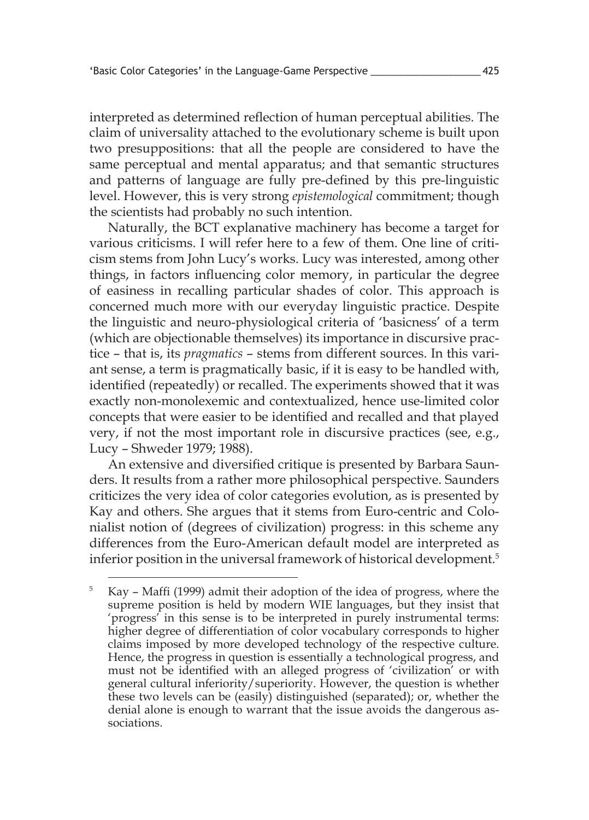interpreted as determined reflection of human perceptual abilities. The claim of universality attached to the evolutionary scheme is built upon two presuppositions: that all the people are considered to have the same perceptual and mental apparatus; and that semantic structures and patterns of language are fully pre-defined by this pre-linguistic level. However, this is very strong *epistemological* commitment; though the scientists had probably no such intention.

Naturally, the BCT explanative machinery has become a target for various criticisms. I will refer here to a few of them. One line of criticism stems from John Lucy's works. Lucy was interested, among other things, in factors influencing color memory, in particular the degree of easiness in recalling particular shades of color. This approach is concerned much more with our everyday linguistic practice. Despite the linguistic and neuro-physiological criteria of 'basicness' of a term (which are objectionable themselves) its importance in discursive practice – that is, its *pragmatics* – stems from different sources. In this variant sense, a term is pragmatically basic, if it is easy to be handled with, identified (repeatedly) or recalled. The experiments showed that it was exactly non-monolexemic and contextualized, hence use-limited color concepts that were easier to be identified and recalled and that played very, if not the most important role in discursive practices (see, e.g., Lucy – Shweder 1979; 1988).

An extensive and diversified critique is presented by Barbara Saunders. It results from a rather more philosophical perspective. Saunders criticizes the very idea of color categories evolution, as is presented by Kay and others. She argues that it stems from Euro-centric and Colonialist notion of (degrees of civilization) progress: in this scheme any differences from the Euro-American default model are interpreted as inferior position in the universal framework of historical development. 5

<sup>5</sup> Kay – Maffi (1999) admit their adoption of the idea of progress, where the supreme position is held by modern WIE languages, but they insist that 'progress' in this sense is to be interpreted in purely instrumental terms: higher degree of differentiation of color vocabulary corresponds to higher claims imposed by more developed technology of the respective culture. Hence, the progress in question is essentially a technological progress, and must not be identified with an alleged progress of 'civilization' or with general cultural inferiority/superiority. However, the question is whether these two levels can be (easily) distinguished (separated); or, whether the denial alone is enough to warrant that the issue avoids the dangerous associations.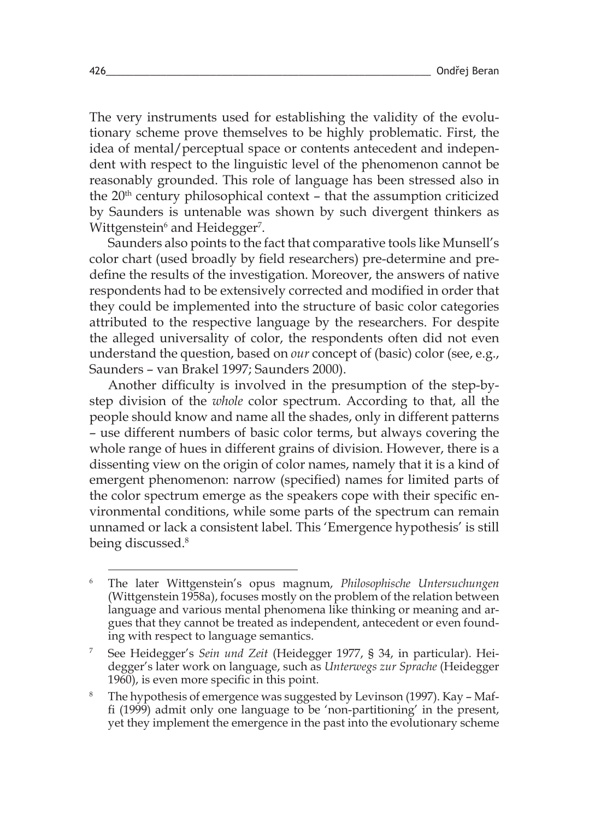The very instruments used for establishing the validity of the evolutionary scheme prove themselves to be highly problematic. First, the idea of mental/perceptual space or contents antecedent and independent with respect to the linguistic level of the phenomenon cannot be reasonably grounded. This role of language has been stressed also in the  $20<sup>th</sup>$  century philosophical context – that the assumption criticized by Saunders is untenable was shown by such divergent thinkers as Wittgenstein $^{\rm 6}$  and Heidegger $^{\rm 7}$ .

Saunders also points to the fact that comparative tools like Munsell's color chart (used broadly by field researchers) pre-determine and predefine the results of the investigation. Moreover, the answers of native respondents had to be extensively corrected and modified in order that they could be implemented into the structure of basic color categories attributed to the respective language by the researchers. For despite the alleged universality of color, the respondents often did not even understand the question, based on *our* concept of (basic) color (see, e.g., Saunders – van Brakel 1997; Saunders 2000).

Another difficulty is involved in the presumption of the step-bystep division of the *whole* color spectrum. According to that, all the people should know and name all the shades, only in different patterns – use different numbers of basic color terms, but always covering the whole range of hues in different grains of division. However, there is a dissenting view on the origin of color names, namely that it is a kind of emergent phenomenon: narrow (specified) names for limited parts of the color spectrum emerge as the speakers cope with their specific environmental conditions, while some parts of the spectrum can remain unnamed or lack a consistent label. This 'Emergence hypothesis' is still being discussed. 8

<sup>6</sup> The later Wittgenstein's opus magnum, *Philosophische Untersuchungen* (Wittgenstein 1958a), focuses mostly on the problem of the relation between language and various mental phenomena like thinking or meaning and argues that they cannot be treated as independent, antecedent or even founding with respect to language semantics.

<sup>7</sup> See Heidegger's *Sein und Zeit* (Heidegger 1977, § 34, in particular). Heidegger's later work on language, such as *Unterwegs zur Sprache* (Heidegger 1960), is even more specific in this point.

<sup>&</sup>lt;sup>8</sup> The hypothesis of emergence was suggested by Levinson (1997). Kay – Maffi (1999) admit only one language to be 'non-partitioning' in the present, yet they implement the emergence in the past into the evolutionary scheme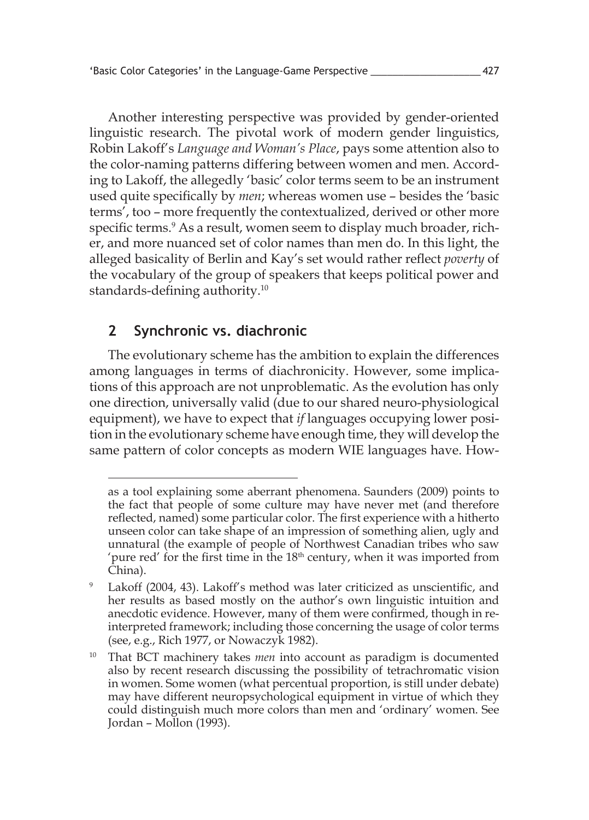Another interesting perspective was provided by gender-oriented linguistic research. The pivotal work of modern gender linguistics, Robin Lakoff's *Language and Woman's Place*, pays some attention also to the color-naming patterns differing between women and men. According to Lakoff, the allegedly 'basic' color terms seem to be an instrument used quite specifically by *men*; whereas women use – besides the 'basic terms', too – more frequently the contextualized, derived or other more specific terms.<sup>9</sup> As a result, women seem to display much broader, richer, and more nuanced set of color names than men do. In this light, the alleged basicality of Berlin and Kay's set would rather reflect *poverty* of the vocabulary of the group of speakers that keeps political power and standards-defining authority.<sup>10</sup>

#### **2 Synchronic vs. diachronic**

The evolutionary scheme has the ambition to explain the differences among languages in terms of diachronicity. However, some implications of this approach are not unproblematic. As the evolution has only one direction, universally valid (due to our shared neuro-physiological equipment), we have to expect that *if* languages occupying lower position in the evolutionary scheme have enough time, they will develop the same pattern of color concepts as modern WIE languages have. How-

as a tool explaining some aberrant phenomena. Saunders (2009) points to the fact that people of some culture may have never met (and therefore reflected, named) some particular color. The first experience with a hitherto unseen color can take shape of an impression of something alien, ugly and unnatural (the example of people of Northwest Canadian tribes who saw 'pure red' for the first time in the 18<sup>th</sup> century, when it was imported from China).

<sup>&</sup>lt;sup>9</sup> Lakoff (2004, 43). Lakoff's method was later criticized as unscientific, and her results as based mostly on the author's own linguistic intuition and anecdotic evidence. However, many of them were confirmed, though in reinterpreted framework; including those concerning the usage of color terms (see, e.g., Rich 1977, or Nowaczyk 1982).

That BCT machinery takes *men* into account as paradigm is documented also by recent research discussing the possibility of tetrachromatic vision in women. Some women (what percentual proportion, is still under debate) may have different neuropsychological equipment in virtue of which they could distinguish much more colors than men and 'ordinary' women. See Jordan – Mollon (1993).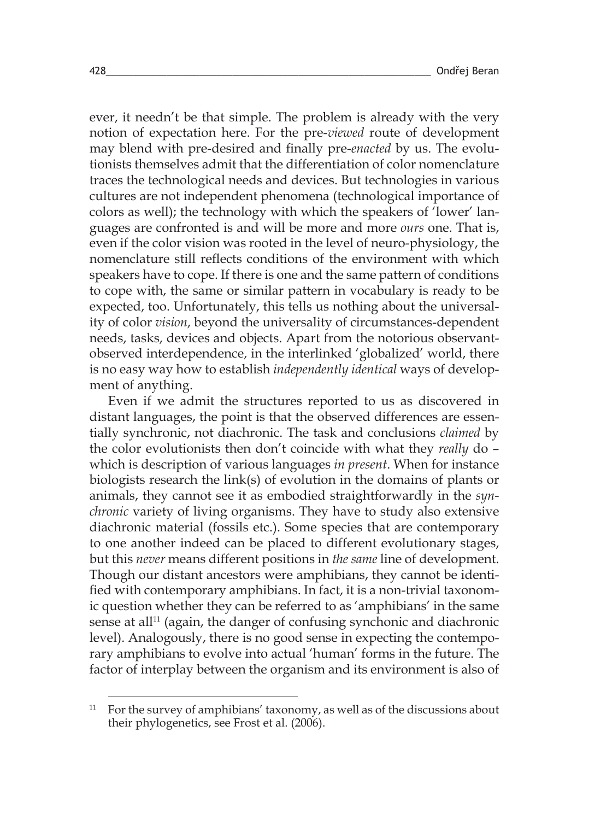ever, it needn't be that simple. The problem is already with the very notion of expectation here. For the pre-*viewed* route of development may blend with pre-desired and finally pre-*enacted* by us. The evolutionists themselves admit that the differentiation of color nomenclature traces the technological needs and devices. But technologies in various cultures are not independent phenomena (technological importance of colors as well); the technology with which the speakers of 'lower' languages are confronted is and will be more and more *ours* one. That is, even if the color vision was rooted in the level of neuro-physiology, the nomenclature still reflects conditions of the environment with which speakers have to cope. If there is one and the same pattern of conditions to cope with, the same or similar pattern in vocabulary is ready to be expected, too. Unfortunately, this tells us nothing about the universality of color *vision*, beyond the universality of circumstances-dependent needs, tasks, devices and objects. Apart from the notorious observantobserved interdependence, in the interlinked 'globalized' world, there is no easy way how to establish *independently identical* ways of development of anything.

Even if we admit the structures reported to us as discovered in distant languages, the point is that the observed differences are essentially synchronic, not diachronic. The task and conclusions *claimed* by the color evolutionists then don't coincide with what they *really* do – which is description of various languages *in present*. When for instance biologists research the link(s) of evolution in the domains of plants or animals, they cannot see it as embodied straightforwardly in the *synchronic* variety of living organisms. They have to study also extensive diachronic material (fossils etc.). Some species that are contemporary to one another indeed can be placed to different evolutionary stages, but this *never* means different positions in *the same* line of development. Though our distant ancestors were amphibians, they cannot be identified with contemporary amphibians. In fact, it is a non-trivial taxonomic question whether they can be referred to as 'amphibians' in the same sense at all<sup>11</sup> (again, the danger of confusing synchonic and diachronic level). Analogously, there is no good sense in expecting the contemporary amphibians to evolve into actual 'human' forms in the future. The factor of interplay between the organism and its environment is also of

<sup>11</sup> For the survey of amphibians' taxonomy, as well as of the discussions about their phylogenetics, see Frost et al. (2006).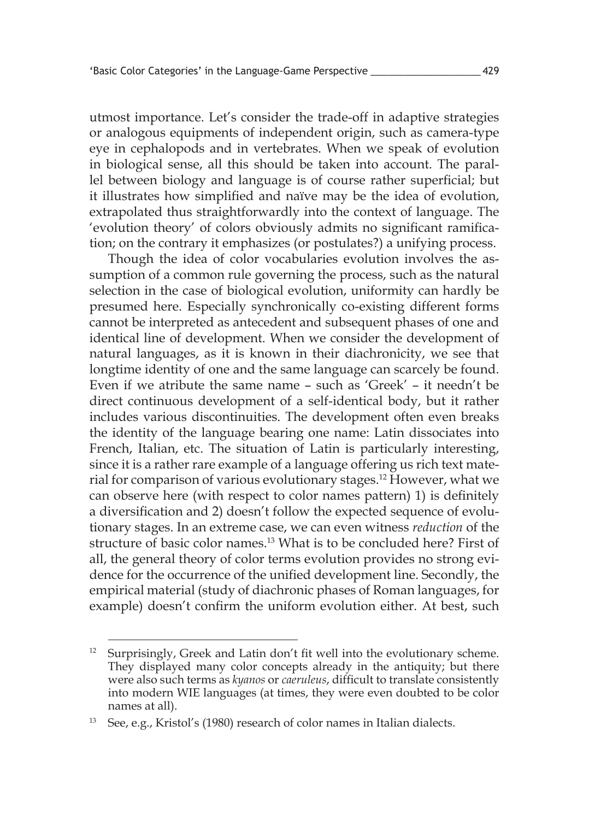utmost importance. Let's consider the trade-off in adaptive strategies or analogous equipments of independent origin, such as camera-type eye in cephalopods and in vertebrates. When we speak of evolution in biological sense, all this should be taken into account. The parallel between biology and language is of course rather superficial; but it illustrates how simplified and naïve may be the idea of evolution, extrapolated thus straightforwardly into the context of language. The 'evolution theory' of colors obviously admits no significant ramification; on the contrary it emphasizes (or postulates?) a unifying process.

Though the idea of color vocabularies evolution involves the assumption of a common rule governing the process, such as the natural selection in the case of biological evolution, uniformity can hardly be presumed here. Especially synchronically co-existing different forms cannot be interpreted as antecedent and subsequent phases of one and identical line of development. When we consider the development of natural languages, as it is known in their diachronicity, we see that longtime identity of one and the same language can scarcely be found. Even if we atribute the same name – such as 'Greek' – it needn't be direct continuous development of a self-identical body, but it rather includes various discontinuities. The development often even breaks the identity of the language bearing one name: Latin dissociates into French, Italian, etc. The situation of Latin is particularly interesting, since it is a rather rare example of a language offering us rich text material for comparison of various evolutionary stages. 12 However, what we can observe here (with respect to color names pattern) 1) is definitely a diversification and 2) doesn't follow the expected sequence of evolutionary stages. In an extreme case, we can even witness *reduction* of the structure of basic color names. 13 What is to be concluded here? First of all, the general theory of color terms evolution provides no strong evidence for the occurrence of the unified development line. Secondly, the empirical material (study of diachronic phases of Roman languages, for example) doesn't confirm the uniform evolution either. At best, such

<sup>&</sup>lt;sup>12</sup> Surprisingly, Greek and Latin don't fit well into the evolutionary scheme. They displayed many color concepts already in the antiquity; but there were also such terms as *kyanos* or *caeruleus*, difficult to translate consistently into modern WIE languages (at times, they were even doubted to be color names at all).

<sup>13</sup> See, e.g., Kristol's (1980) research of color names in Italian dialects.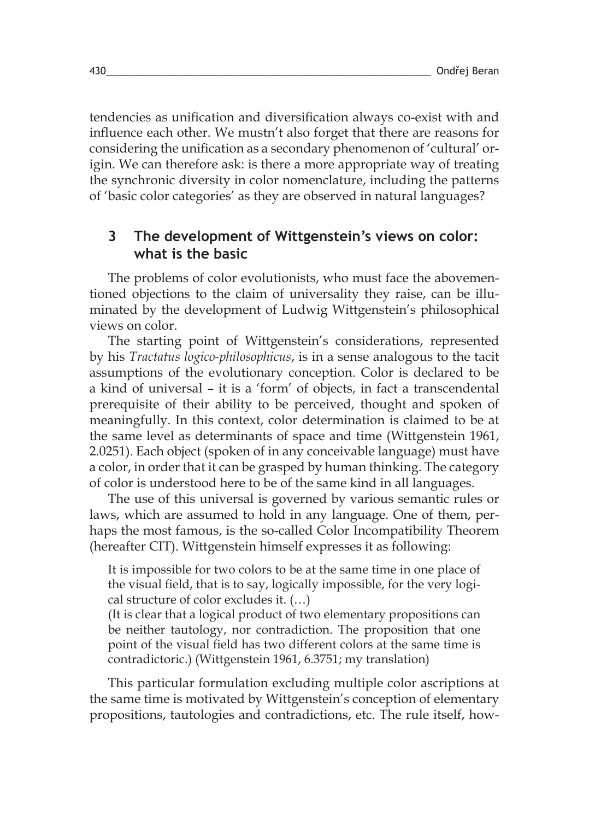tendencies as unification and diversification always co-exist with and influence each other. We mustn't also forget that there are reasons for considering the unification as a secondary phenomenon of 'cultural' origin. We can therefore ask: is there a more appropriate way of treating the synchronic diversity in color nomenclature, including the patterns of 'basic color categories' as they are observed in natural languages?

#### **3 The development of Wittgenstein's views on color: what is the basic**

The problems of color evolutionists, who must face the abovementioned objections to the claim of universality they raise, can be illuminated by the development of Ludwig Wittgenstein's philosophical views on color.

The starting point of Wittgenstein's considerations, represented by his *Tractatus logico-philosophicus*, is in a sense analogous to the tacit assumptions of the evolutionary conception. Color is declared to be a kind of universal – it is a 'form' of objects, in fact a transcendental prerequisite of their ability to be perceived, thought and spoken of meaningfully. In this context, color determination is claimed to be at the same level as determinants of space and time (Wittgenstein 1961, 2.0251). Each object (spoken of in any conceivable language) must have a color, in order that it can be grasped by human thinking. The category of color is understood here to be of the same kind in all languages.

The use of this universal is governed by various semantic rules or laws, which are assumed to hold in any language. One of them, perhaps the most famous, is the so-called Color Incompatibility Theorem (hereafter CIT). Wittgenstein himself expresses it as following:

It is impossible for two colors to be at the same time in one place of the visual field, that is to say, logically impossible, for the very logical structure of color excludes it. (…)

(It is clear that a logical product of two elementary propositions can be neither tautology, nor contradiction. The proposition that one point of the visual field has two different colors at the same time is contradictoric.) (Wittgenstein 1961, 6.3751; my translation)

This particular formulation excluding multiple color ascriptions at the same time is motivated by Wittgenstein's conception of elementary propositions, tautologies and contradictions, etc. The rule itself, how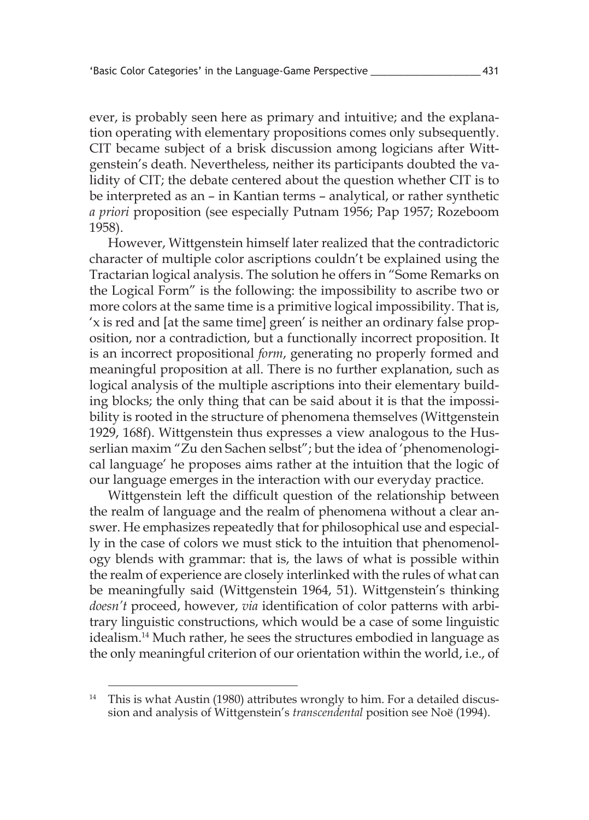ever, is probably seen here as primary and intuitive; and the explanation operating with elementary propositions comes only subsequently. CIT became subject of a brisk discussion among logicians after Wittgenstein's death. Nevertheless, neither its participants doubted the validity of CIT; the debate centered about the question whether CIT is to be interpreted as an – in Kantian terms – analytical, or rather synthetic *a priori* proposition (see especially Putnam 1956; Pap 1957; Rozeboom 1958).

However, Wittgenstein himself later realized that the contradictoric character of multiple color ascriptions couldn't be explained using the Tractarian logical analysis. The solution he offers in "Some Remarks on the Logical Form" is the following: the impossibility to ascribe two or more colors at the same time is a primitive logical impossibility. That is, 'x is red and [at the same time] green' is neither an ordinary false proposition, nor a contradiction, but a functionally incorrect proposition. It is an incorrect propositional *form*, generating no properly formed and meaningful proposition at all. There is no further explanation, such as logical analysis of the multiple ascriptions into their elementary building blocks; the only thing that can be said about it is that the impossibility is rooted in the structure of phenomena themselves (Wittgenstein 1929, 168f). Wittgenstein thus expresses a view analogous to the Husserlian maxim "Zu den Sachen selbst"; but the idea of 'phenomenological language' he proposes aims rather at the intuition that the logic of our language emerges in the interaction with our everyday practice.

Wittgenstein left the difficult question of the relationship between the realm of language and the realm of phenomena without a clear answer. He emphasizes repeatedly that for philosophical use and especially in the case of colors we must stick to the intuition that phenomenology blends with grammar: that is, the laws of what is possible within the realm of experience are closely interlinked with the rules of what can be meaningfully said (Wittgenstein 1964, 51). Wittgenstein's thinking *doesn't* proceed, however, *via* identification of color patterns with arbitrary linguistic constructions, which would be a case of some linguistic idealism. 14 Much rather, he sees the structures embodied in language as the only meaningful criterion of our orientation within the world, i.e., of

<sup>&</sup>lt;sup>14</sup> This is what Austin (1980) attributes wrongly to him. For a detailed discussion and analysis of Wittgenstein's *transcendental* position see Noë (1994).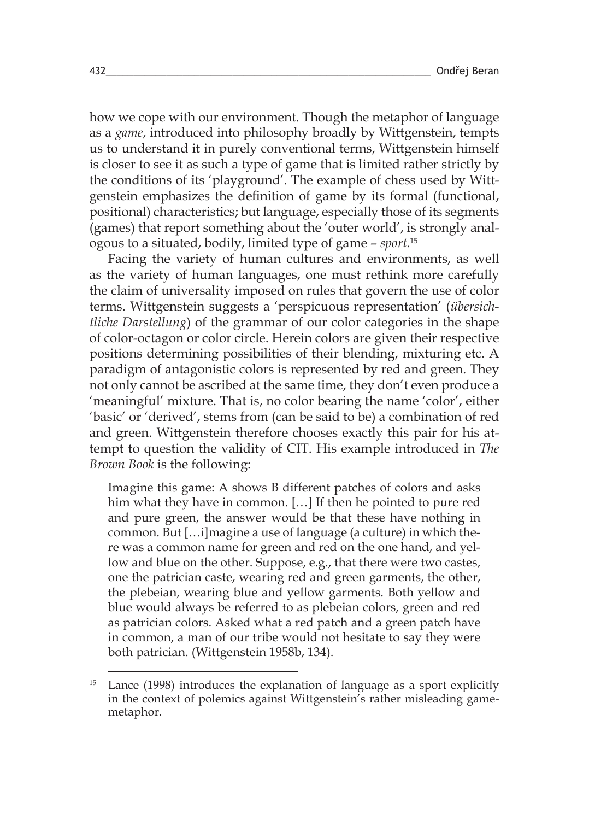how we cope with our environment. Though the metaphor of language as a *game*, introduced into philosophy broadly by Wittgenstein, tempts us to understand it in purely conventional terms, Wittgenstein himself is closer to see it as such a type of game that is limited rather strictly by the conditions of its 'playground'. The example of chess used by Wittgenstein emphasizes the definition of game by its formal (functional, positional) characteristics; but language, especially those of its segments (games) that report something about the 'outer world', is strongly analogous to a situated, bodily, limited type of game – *sport.*<sup>15</sup>

Facing the variety of human cultures and environments, as well as the variety of human languages, one must rethink more carefully the claim of universality imposed on rules that govern the use of color terms. Wittgenstein suggests a 'perspicuous representation' (*übersichtliche Darstellung*) of the grammar of our color categories in the shape of color-octagon or color circle. Herein colors are given their respective positions determining possibilities of their blending, mixturing etc. A paradigm of antagonistic colors is represented by red and green. They not only cannot be ascribed at the same time, they don't even produce a 'meaningful' mixture. That is, no color bearing the name 'color', either 'basic' or 'derived', stems from (can be said to be) a combination of red and green. Wittgenstein therefore chooses exactly this pair for his attempt to question the validity of CIT. His example introduced in *The Brown Book* is the following:

Imagine this game: A shows B different patches of colors and asks him what they have in common. [...] If then he pointed to pure red and pure green, the answer would be that these have nothing in common. But […i]magine a use of language (a culture) in which there was a common name for green and red on the one hand, and yellow and blue on the other. Suppose, e.g., that there were two castes, one the patrician caste, wearing red and green garments, the other, the plebeian, wearing blue and yellow garments. Both yellow and blue would always be referred to as plebeian colors, green and red as patrician colors. Asked what a red patch and a green patch have in common, a man of our tribe would not hesitate to say they were both patrician. (Wittgenstein 1958b, 134).

Lance (1998) introduces the explanation of language as a sport explicitly in the context of polemics against Wittgenstein's rather misleading gamemetaphor.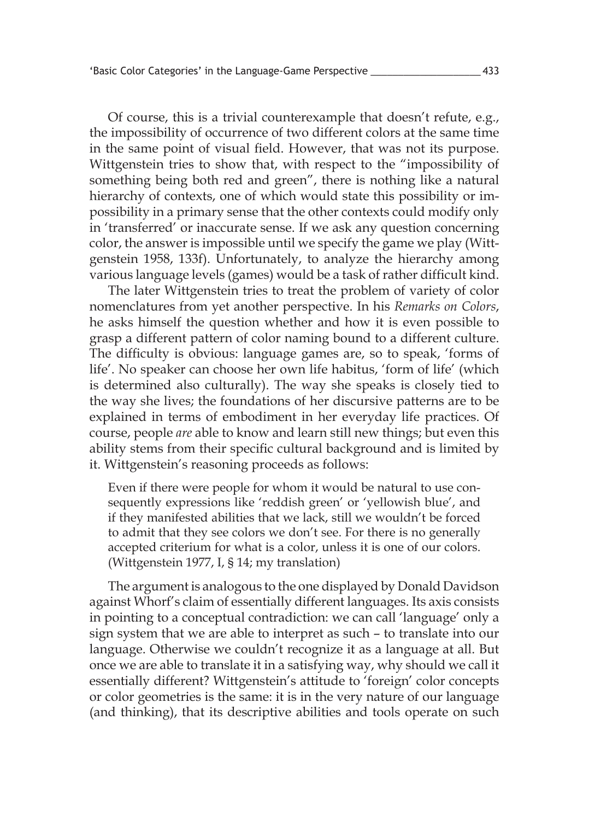Of course, this is a trivial counterexample that doesn't refute, e.g., the impossibility of occurrence of two different colors at the same time in the same point of visual field. However, that was not its purpose. Wittgenstein tries to show that, with respect to the "impossibility of something being both red and green", there is nothing like a natural hierarchy of contexts, one of which would state this possibility or impossibility in a primary sense that the other contexts could modify only in 'transferred' or inaccurate sense. If we ask any question concerning color, the answer is impossible until we specify the game we play (Wittgenstein 1958, 133f). Unfortunately, to analyze the hierarchy among various language levels (games) would be a task of rather difficult kind.

The later Wittgenstein tries to treat the problem of variety of color nomenclatures from yet another perspective. In his *Remarks on Colors*, he asks himself the question whether and how it is even possible to grasp a different pattern of color naming bound to a different culture. The difficulty is obvious: language games are, so to speak, 'forms of life'. No speaker can choose her own life habitus, 'form of life' (which is determined also culturally). The way she speaks is closely tied to the way she lives; the foundations of her discursive patterns are to be explained in terms of embodiment in her everyday life practices. Of course, people *are* able to know and learn still new things; but even this ability stems from their specific cultural background and is limited by it. Wittgenstein's reasoning proceeds as follows:

Even if there were people for whom it would be natural to use consequently expressions like 'reddish green' or 'yellowish blue', and if they manifested abilities that we lack, still we wouldn't be forced to admit that they see colors we don't see. For there is no generally accepted criterium for what is a color, unless it is one of our colors. (Wittgenstein 1977, I, § 14; my translation)

The argument is analogous to the one displayed by Donald Davidson against Whorf's claim of essentially different languages. Its axis consists in pointing to a conceptual contradiction: we can call 'language' only a sign system that we are able to interpret as such – to translate into our language. Otherwise we couldn't recognize it as a language at all. But once we are able to translate it in a satisfying way, why should we call it essentially different? Wittgenstein's attitude to 'foreign' color concepts or color geometries is the same: it is in the very nature of our language (and thinking), that its descriptive abilities and tools operate on such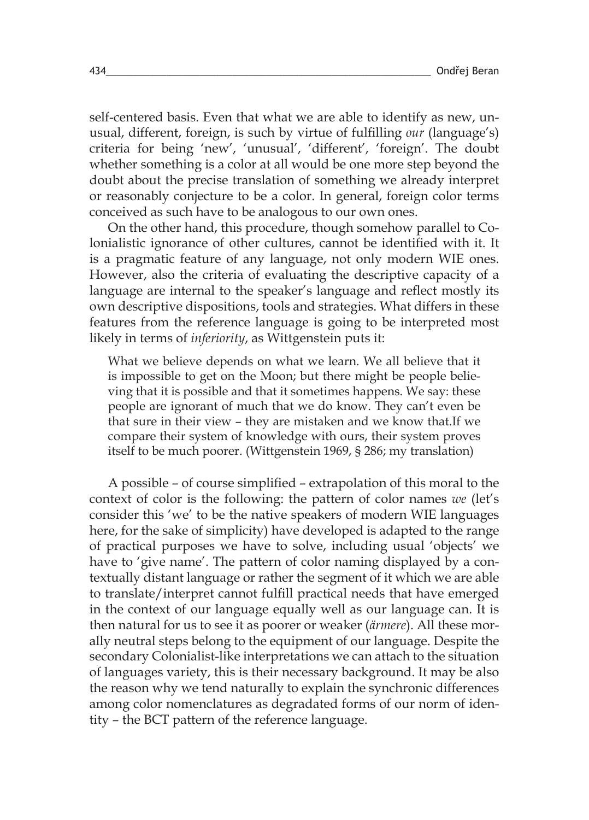self-centered basis. Even that what we are able to identify as new, unusual, different, foreign, is such by virtue of fulfilling *our* (language's) criteria for being 'new', 'unusual', 'different', 'foreign'. The doubt whether something is a color at all would be one more step beyond the doubt about the precise translation of something we already interpret or reasonably conjecture to be a color. In general, foreign color terms conceived as such have to be analogous to our own ones.

On the other hand, this procedure, though somehow parallel to Colonialistic ignorance of other cultures, cannot be identified with it. It is a pragmatic feature of any language, not only modern WIE ones. However, also the criteria of evaluating the descriptive capacity of a language are internal to the speaker's language and reflect mostly its own descriptive dispositions, tools and strategies. What differs in these features from the reference language is going to be interpreted most likely in terms of *inferiority*, as Wittgenstein puts it:

What we believe depends on what we learn. We all believe that it is impossible to get on the Moon; but there might be people believing that it is possible and that it sometimes happens. We say: these people are ignorant of much that we do know. They can't even be that sure in their view – they are mistaken and we know that.If we compare their system of knowledge with ours, their system proves itself to be much poorer. (Wittgenstein 1969, § 286; my translation)

A possible – of course simplified – extrapolation of this moral to the context of color is the following: the pattern of color names *we* (let's consider this 'we' to be the native speakers of modern WIE languages here, for the sake of simplicity) have developed is adapted to the range of practical purposes we have to solve, including usual 'objects' we have to 'give name'. The pattern of color naming displayed by a contextually distant language or rather the segment of it which we are able to translate/interpret cannot fulfill practical needs that have emerged in the context of our language equally well as our language can. It is then natural for us to see it as poorer or weaker (*ärmere*). All these morally neutral steps belong to the equipment of our language. Despite the secondary Colonialist-like interpretations we can attach to the situation of languages variety, this is their necessary background. It may be also the reason why we tend naturally to explain the synchronic differences among color nomenclatures as degradated forms of our norm of identity – the BCT pattern of the reference language.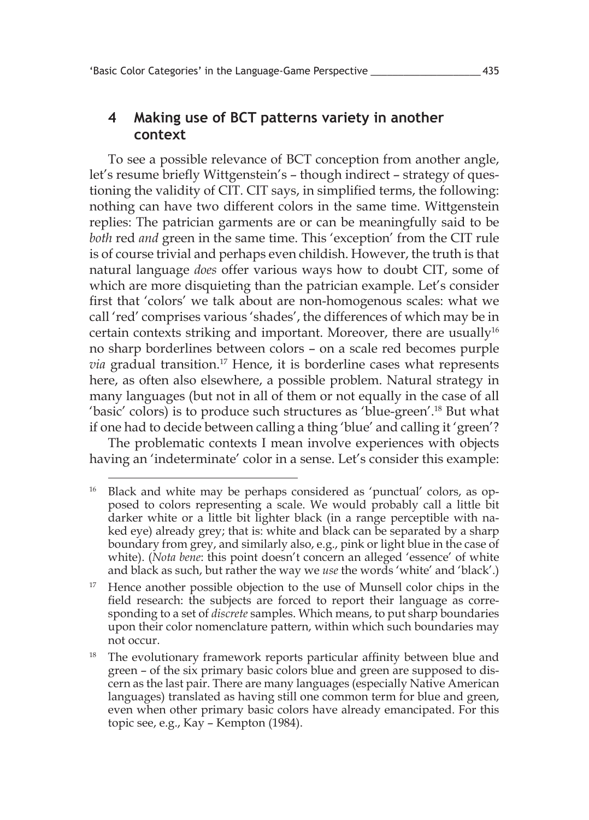## **4 Making use of BCT patterns variety in another context**

To see a possible relevance of BCT conception from another angle, let's resume briefly Wittgenstein's – though indirect – strategy of questioning the validity of CIT. CIT says, in simplified terms, the following: nothing can have two different colors in the same time. Wittgenstein replies: The patrician garments are or can be meaningfully said to be *both* red *and* green in the same time. This 'exception' from the CIT rule is of course trivial and perhaps even childish. However, the truth is that natural language *does* offer various ways how to doubt CIT, some of which are more disquieting than the patrician example. Let's consider first that 'colors' we talk about are non-homogenous scales: what we call 'red' comprises various 'shades', the differences of which may be in certain contexts striking and important. Moreover, there are usually<sup>16</sup> no sharp borderlines between colors – on a scale red becomes purple *via* gradual transition. 17 Hence, it is borderline cases what represents here, as often also elsewhere, a possible problem. Natural strategy in many languages (but not in all of them or not equally in the case of all 'basic' colors) is to produce such structures as 'blue-green'. 18 But what if one had to decide between calling a thing 'blue' and calling it 'green'?

The problematic contexts I mean involve experiences with objects having an 'indeterminate' color in a sense. Let's consider this example:

<sup>&</sup>lt;sup>16</sup> Black and white may be perhaps considered as 'punctual' colors, as opposed to colors representing a scale. We would probably call a little bit darker white or a little bit lighter black (in a range perceptible with naked eye) already grey; that is: white and black can be separated by a sharp boundary from grey, and similarly also, e.g., pink or light blue in the case of white). (*Nota bene*: this point doesn't concern an alleged 'essence' of white and black as such, but rather the way we *use* the words 'white' and 'black'.)

<sup>&</sup>lt;sup>17</sup> Hence another possible objection to the use of Munsell color chips in the field research: the subjects are forced to report their language as corresponding to a set of *discrete* samples. Which means, to put sharp boundaries upon their color nomenclature pattern, within which such boundaries may not occur.

<sup>&</sup>lt;sup>18</sup> The evolutionary framework reports particular affinity between blue and green – of the six primary basic colors blue and green are supposed to discern as the last pair. There are many languages (especially Native American languages) translated as having still one common term for blue and green, even when other primary basic colors have already emancipated. For this topic see, e.g., Kay – Kempton (1984).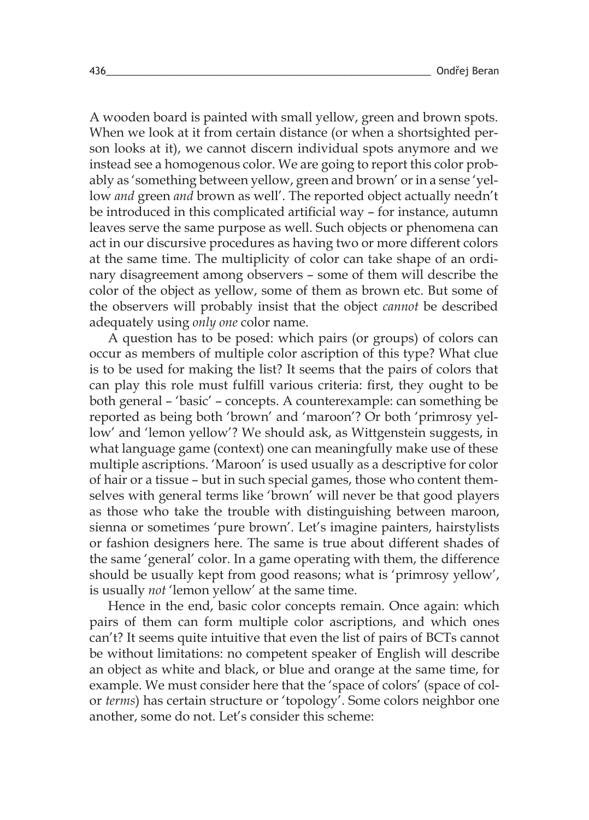A wooden board is painted with small yellow, green and brown spots. When we look at it from certain distance (or when a shortsighted person looks at it), we cannot discern individual spots anymore and we instead see a homogenous color. We are going to report this color probably as 'something between yellow, green and brown' or in a sense 'yellow *and* green *and* brown as well'. The reported object actually needn't be introduced in this complicated artificial way – for instance, autumn leaves serve the same purpose as well. Such objects or phenomena can act in our discursive procedures as having two or more different colors at the same time. The multiplicity of color can take shape of an ordinary disagreement among observers – some of them will describe the color of the object as yellow, some of them as brown etc. But some of the observers will probably insist that the object *cannot* be described adequately using *only one* color name.

A question has to be posed: which pairs (or groups) of colors can occur as members of multiple color ascription of this type? What clue is to be used for making the list? It seems that the pairs of colors that can play this role must fulfill various criteria: first, they ought to be both general – 'basic' – concepts. A counterexample: can something be reported as being both 'brown' and 'maroon'? Or both 'primrosy yellow' and 'lemon yellow'? We should ask, as Wittgenstein suggests, in what language game (context) one can meaningfully make use of these multiple ascriptions. 'Maroon' is used usually as a descriptive for color of hair or a tissue – but in such special games, those who content themselves with general terms like 'brown' will never be that good players as those who take the trouble with distinguishing between maroon, sienna or sometimes 'pure brown'. Let's imagine painters, hairstylists or fashion designers here. The same is true about different shades of the same 'general' color. In a game operating with them, the difference should be usually kept from good reasons; what is 'primrosy yellow', is usually *not* 'lemon yellow' at the same time.

Hence in the end, basic color concepts remain. Once again: which pairs of them can form multiple color ascriptions, and which ones can't? It seems quite intuitive that even the list of pairs of BCTs cannot be without limitations: no competent speaker of English will describe an object as white and black, or blue and orange at the same time, for example. We must consider here that the 'space of colors' (space of color *terms*) has certain structure or 'topology'. Some colors neighbor one another, some do not. Let's consider this scheme: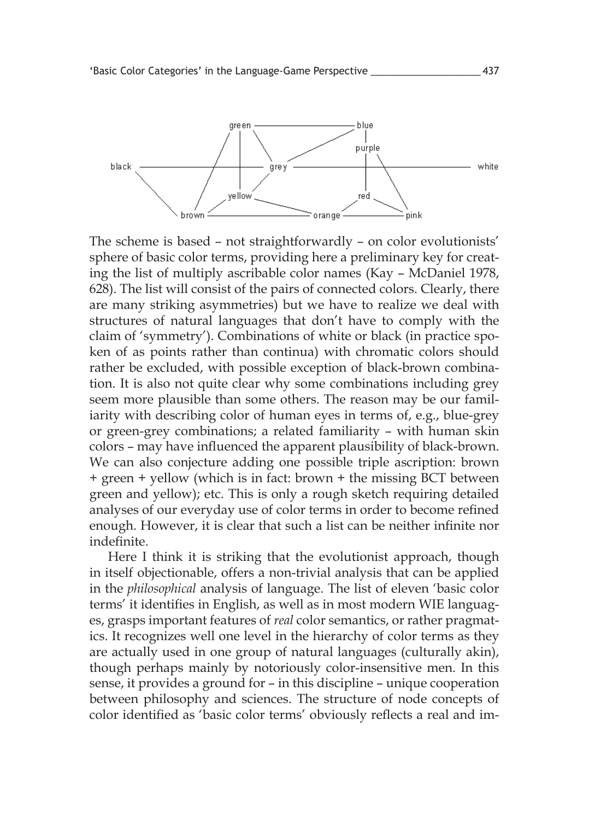

The scheme is based – not straightforwardly – on color evolutionists' sphere of basic color terms, providing here a preliminary key for creating the list of multiply ascribable color names (Kay – McDaniel 1978, 628). The list will consist of the pairs of connected colors. Clearly, there are many striking asymmetries) but we have to realize we deal with structures of natural languages that don't have to comply with the claim of 'symmetry'). Combinations of white or black (in practice spoken of as points rather than continua) with chromatic colors should rather be excluded, with possible exception of black-brown combination. It is also not quite clear why some combinations including grey seem more plausible than some others. The reason may be our familiarity with describing color of human eyes in terms of, e.g., blue-grey or green-grey combinations; a related familiarity – with human skin colors – may have influenced the apparent plausibility of black-brown. We can also conjecture adding one possible triple ascription: brown + green + yellow (which is in fact: brown + the missing BCT between green and yellow); etc. This is only a rough sketch requiring detailed analyses of our everyday use of color terms in order to become refined enough. However, it is clear that such a list can be neither infinite nor indefinite.

Here I think it is striking that the evolutionist approach, though in itself objectionable, offers a non-trivial analysis that can be applied in the *philosophical* analysis of language. The list of eleven 'basic color terms' it identifies in English, as well as in most modern WIE languages, grasps important features of *real* color semantics, or rather pragmatics. It recognizes well one level in the hierarchy of color terms as they are actually used in one group of natural languages (culturally akin), though perhaps mainly by notoriously color-insensitive men. In this sense, it provides a ground for – in this discipline – unique cooperation between philosophy and sciences. The structure of node concepts of color identified as 'basic color terms' obviously reflects a real and im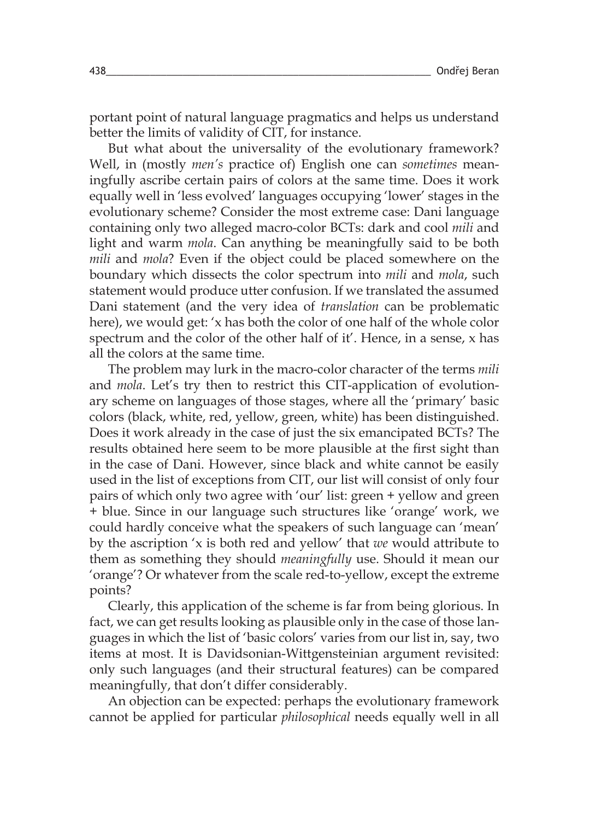portant point of natural language pragmatics and helps us understand better the limits of validity of CIT, for instance.

But what about the universality of the evolutionary framework? Well, in (mostly *men's* practice of) English one can *sometimes* meaningfully ascribe certain pairs of colors at the same time. Does it work equally well in 'less evolved' languages occupying 'lower' stages in the evolutionary scheme? Consider the most extreme case: Dani language containing only two alleged macro-color BCTs: dark and cool *mili* and light and warm *mola*. Can anything be meaningfully said to be both *mili* and *mola*? Even if the object could be placed somewhere on the boundary which dissects the color spectrum into *mili* and *mola*, such statement would produce utter confusion. If we translated the assumed Dani statement (and the very idea of *translation* can be problematic here), we would get: 'x has both the color of one half of the whole color spectrum and the color of the other half of it'. Hence, in a sense, x has all the colors at the same time.

The problem may lurk in the macro-color character of the terms *mili* and *mola*. Let's try then to restrict this CIT-application of evolutionary scheme on languages of those stages, where all the 'primary' basic colors (black, white, red, yellow, green, white) has been distinguished. Does it work already in the case of just the six emancipated BCTs? The results obtained here seem to be more plausible at the first sight than in the case of Dani. However, since black and white cannot be easily used in the list of exceptions from CIT, our list will consist of only four pairs of which only two agree with 'our' list: green + yellow and green + blue. Since in our language such structures like 'orange' work, we could hardly conceive what the speakers of such language can 'mean' by the ascription 'x is both red and yellow' that *we* would attribute to them as something they should *meaningfully* use. Should it mean our 'orange'? Or whatever from the scale red-to-yellow, except the extreme points?

Clearly, this application of the scheme is far from being glorious. In fact, we can get results looking as plausible only in the case of those languages in which the list of 'basic colors' varies from our list in, say, two items at most. It is Davidsonian-Wittgensteinian argument revisited: only such languages (and their structural features) can be compared meaningfully, that don't differ considerably.

An objection can be expected: perhaps the evolutionary framework cannot be applied for particular *philosophical* needs equally well in all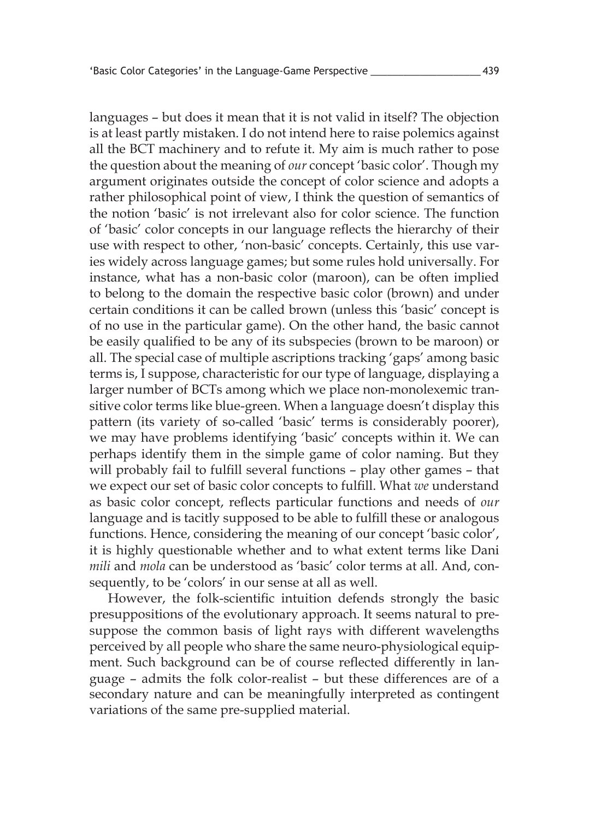languages – but does it mean that it is not valid in itself? The objection is at least partly mistaken. I do not intend here to raise polemics against all the BCT machinery and to refute it. My aim is much rather to pose the question about the meaning of *our* concept 'basic color'. Though my argument originates outside the concept of color science and adopts a rather philosophical point of view, I think the question of semantics of the notion 'basic' is not irrelevant also for color science. The function of 'basic' color concepts in our language reflects the hierarchy of their use with respect to other, 'non-basic' concepts. Certainly, this use varies widely across language games; but some rules hold universally. For instance, what has a non-basic color (maroon), can be often implied to belong to the domain the respective basic color (brown) and under certain conditions it can be called brown (unless this 'basic' concept is of no use in the particular game). On the other hand, the basic cannot be easily qualified to be any of its subspecies (brown to be maroon) or all. The special case of multiple ascriptions tracking 'gaps' among basic terms is, I suppose, characteristic for our type of language, displaying a larger number of BCTs among which we place non-monolexemic transitive color terms like blue-green. When a language doesn't display this pattern (its variety of so-called 'basic' terms is considerably poorer), we may have problems identifying 'basic' concepts within it. We can perhaps identify them in the simple game of color naming. But they will probably fail to fulfill several functions – play other games – that we expect our set of basic color concepts to fulfill. What *we* understand as basic color concept, reflects particular functions and needs of *our* language and is tacitly supposed to be able to fulfill these or analogous functions. Hence, considering the meaning of our concept 'basic color', it is highly questionable whether and to what extent terms like Dani *mili* and *mola* can be understood as 'basic' color terms at all. And, consequently, to be 'colors' in our sense at all as well.

However, the folk-scientific intuition defends strongly the basic presuppositions of the evolutionary approach. It seems natural to presuppose the common basis of light rays with different wavelengths perceived by all people who share the same neuro-physiological equipment. Such background can be of course reflected differently in language – admits the folk color-realist – but these differences are of a secondary nature and can be meaningfully interpreted as contingent variations of the same pre-supplied material.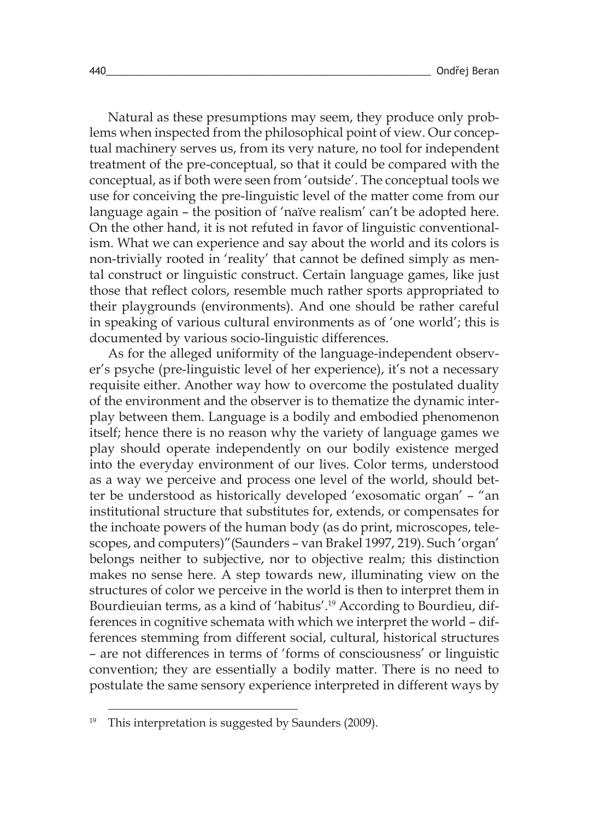Natural as these presumptions may seem, they produce only problems when inspected from the philosophical point of view. Our conceptual machinery serves us, from its very nature, no tool for independent treatment of the pre-conceptual, so that it could be compared with the conceptual, as if both were seen from 'outside'. The conceptual tools we use for conceiving the pre-linguistic level of the matter come from our language again – the position of 'naïve realism' can't be adopted here. On the other hand, it is not refuted in favor of linguistic conventionalism. What we can experience and say about the world and its colors is non-trivially rooted in 'reality' that cannot be defined simply as mental construct or linguistic construct. Certain language games, like just those that reflect colors, resemble much rather sports appropriated to their playgrounds (environments). And one should be rather careful in speaking of various cultural environments as of 'one world'; this is documented by various socio-linguistic differences.

As for the alleged uniformity of the language-independent observer's psyche (pre-linguistic level of her experience), it's not a necessary requisite either. Another way how to overcome the postulated duality of the environment and the observer is to thematize the dynamic interplay between them. Language is a bodily and embodied phenomenon itself; hence there is no reason why the variety of language games we play should operate independently on our bodily existence merged into the everyday environment of our lives. Color terms, understood as a way we perceive and process one level of the world, should better be understood as historically developed 'exosomatic organ' – "an institutional structure that substitutes for, extends, or compensates for the inchoate powers of the human body (as do print, microscopes, telescopes, and computers)"(Saunders – van Brakel 1997, 219). Such 'organ' belongs neither to subjective, nor to objective realm; this distinction makes no sense here. A step towards new, illuminating view on the structures of color we perceive in the world is then to interpret them in Bourdieuian terms, as a kind of 'habitus'. 19 According to Bourdieu, differences in cognitive schemata with which we interpret the world – differences stemming from different social, cultural, historical structures – are not differences in terms of 'forms of consciousness' or linguistic convention; they are essentially a bodily matter. There is no need to postulate the same sensory experience interpreted in different ways by

This interpretation is suggested by Saunders (2009).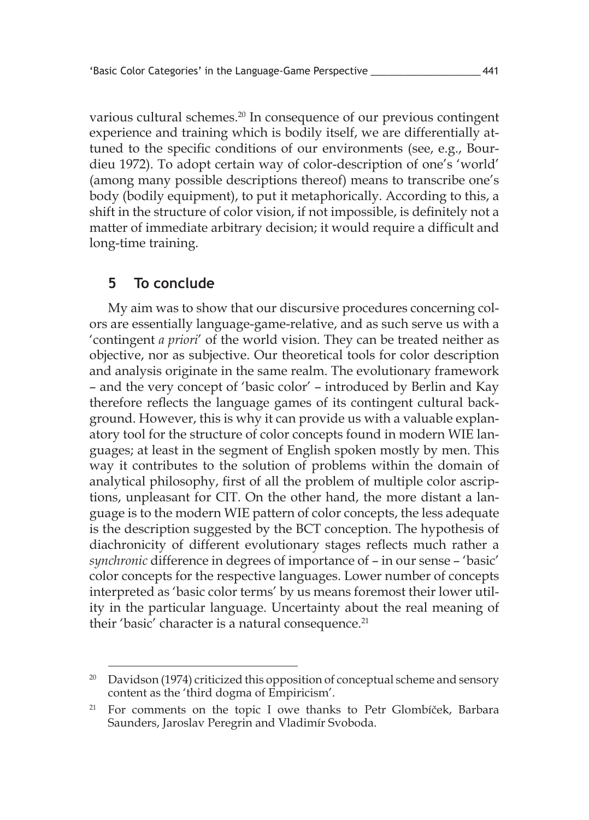various cultural schemes. 20 In consequence of our previous contingent experience and training which is bodily itself, we are differentially attuned to the specific conditions of our environments (see, e.g., Bourdieu 1972). To adopt certain way of color-description of one's 'world' (among many possible descriptions thereof) means to transcribe one's body (bodily equipment), to put it metaphorically. According to this, a shift in the structure of color vision, if not impossible, is definitely not a matter of immediate arbitrary decision; it would require a difficult and long-time training.

#### **5 To conclude**

My aim was to show that our discursive procedures concerning colors are essentially language-game-relative, and as such serve us with a 'contingent *a priori*' of the world vision. They can be treated neither as objective, nor as subjective. Our theoretical tools for color description and analysis originate in the same realm. The evolutionary framework – and the very concept of 'basic color' – introduced by Berlin and Kay therefore reflects the language games of its contingent cultural background. However, this is why it can provide us with a valuable explanatory tool for the structure of color concepts found in modern WIE languages; at least in the segment of English spoken mostly by men. This way it contributes to the solution of problems within the domain of analytical philosophy, first of all the problem of multiple color ascriptions, unpleasant for CIT. On the other hand, the more distant a language is to the modern WIE pattern of color concepts, the less adequate is the description suggested by the BCT conception. The hypothesis of diachronicity of different evolutionary stages reflects much rather a *synchronic* difference in degrees of importance of – in our sense – 'basic' color concepts for the respective languages. Lower number of concepts interpreted as 'basic color terms' by us means foremost their lower utility in the particular language. Uncertainty about the real meaning of their 'basic' character is a natural consequence. 21

<sup>&</sup>lt;sup>20</sup> Davidson (1974) criticized this opposition of conceptual scheme and sensory content as the 'third dogma of Empiricism'.

<sup>&</sup>lt;sup>21</sup> For comments on the topic I owe thanks to Petr Glombíček, Barbara Saunders, Jaroslav Peregrin and Vladimír Svoboda.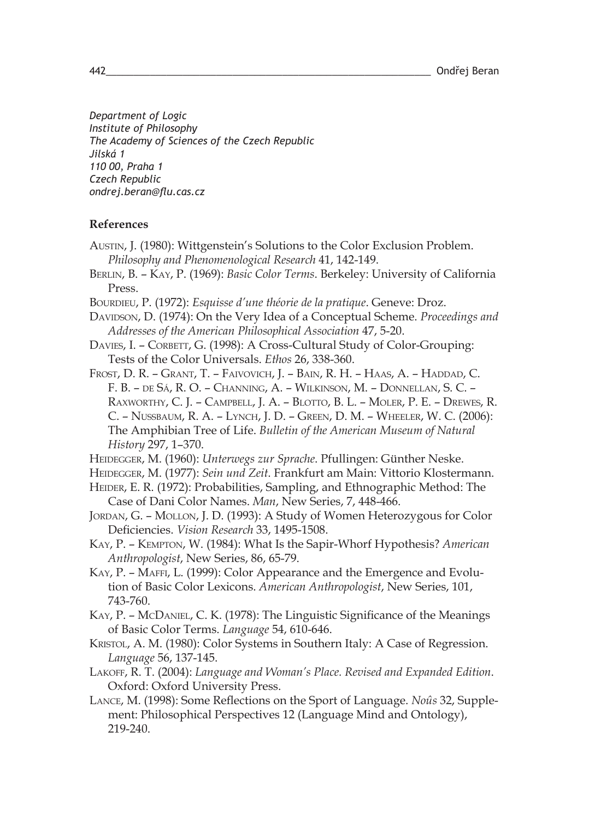*Department of Logic Institute of Philosophy The Academy of Sciences of the Czech Republic Jilská 1 110 00, Praha 1 Czech Republic ondrej.beran@flu.cas.cz*

#### **References**

- Austin, J. (1980): Wittgenstein's Solutions to the Color Exclusion Problem. *Philosophy and Phenomenological Research* 41, 142-149.
- Berlin, B. Kay, P. (1969): *Basic Color Terms*. Berkeley: University of California Press.
- BOURDIEU, P. (1972): *Esquisse d'une théorie de la pratique*. Geneve: Droz.
- Davidson, D. (1974): On the Very Idea of a Conceptual Scheme. *Proceedings and Addresses of the American Philosophical Association* 47, 5-20.
- DAVIES, I. CORBETT, G. (1998): A Cross-Cultural Study of Color-Grouping: Tests of the Color Universals. *Ethos* 26, 338-360.
- Frost, D. R. Grant, T. Faivovich, J. Bain, R. H. Haas, A. Haddad, C. F. B. – de Sá, R. O. – Channing, A. – Wilkinson, M. – Donnellan, S. C. – Raxworthy, C. J. – Campbell, J. A. – Blotto, B. L. – Moler, P. E. – Drewes, R. C. – Nussbaum, R. A. – Lynch, J. D. – Green, D. M. – Wheeler, W. C. (2006): The Amphibian Tree of Life. *Bulletin of the American Museum of Natural History* 297, 1–370.
- Heidegger, M. (1960): *Unterwegs zur Sprache*. Pfullingen: Günther Neske.
- Heidegger, M. (1977): *Sein und Zeit*. Frankfurt am Main: Vittorio Klostermann.
- HEIDER, E. R. (1972): Probabilities, Sampling, and Ethnographic Method: The Case of Dani Color Names. *Man*, New Series, 7, 448-466.
- JORDAN, G. MOLLON, J. D. (1993): A Study of Women Heterozygous for Color Deficiencies. *Vision Research* 33, 1495-1508.
- Kay, P. Kempton, W. (1984): What Is the Sapir-Whorf Hypothesis? *American Anthropologist*, New Series, 86, 65-79.
- Kay, P. Maffi, L. (1999): Color Appearance and the Emergence and Evolution of Basic Color Lexicons. *American Anthropologist*, New Series, 101, 743-760.
- Kay, P. McDaniel, C. K. (1978): The Linguistic Significance of the Meanings of Basic Color Terms. *Language* 54, 610-646.
- Kristol, A. M. (1980): Color Systems in Southern Italy: A Case of Regression. *Language* 56, 137-145.
- Lakoff, R. T. (2004): *Language and Woman's Place. Revised and Expanded Edition*. Oxford: Oxford University Press.
- Lance, M. (1998): Some Reflections on the Sport of Language. *Noûs* 32, Supplement: Philosophical Perspectives 12 (Language Mind and Ontology), 219-240.